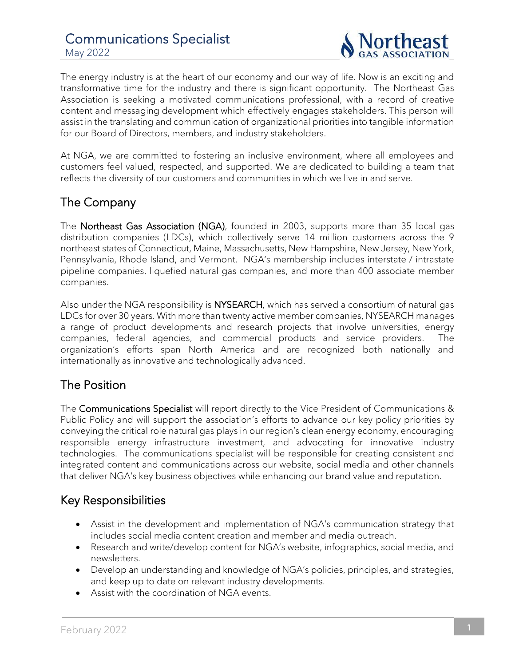

The energy industry is at the heart of our economy and our way of life. Now is an exciting and transformative time for the industry and there is significant opportunity. The Northeast Gas Association is seeking a motivated communications professional, with a record of creative content and messaging development which effectively engages stakeholders. This person will assist in the translating and communication of organizational priorities into tangible information for our Board of Directors, members, and industry stakeholders.

At NGA, we are committed to fostering an inclusive environment, where all employees and customers feel valued, respected, and supported. We are dedicated to building a team that reflects the diversity of our customers and communities in which we live in and serve.

### The Company

The Northeast Gas Association (NGA), founded in 2003, supports more than 35 local gas distribution companies (LDCs), which collectively serve 14 million customers across the 9 northeast states of Connecticut, Maine, Massachusetts, New Hampshire, New Jersey, New York, Pennsylvania, Rhode Island, and Vermont. NGA's membership includes interstate / intrastate pipeline companies, liquefied natural gas companies, and more than 400 associate member companies.

Also under the NGA responsibility is NYSEARCH, which has served a consortium of natural gas LDCs for over 30 years. With more than twenty active member companies, NYSEARCH manages a range of product developments and research projects that involve universities, energy companies, federal agencies, and commercial products and service providers. The organization's efforts span North America and are recognized both nationally and internationally as innovative and technologically advanced.

## The Position

The Communications Specialist will report directly to the Vice President of Communications & Public Policy and will support the association's efforts to advance our key policy priorities by conveying the critical role natural gas plays in our region's clean energy economy, encouraging responsible energy infrastructure investment, and advocating for innovative industry technologies. The communications specialist will be responsible for creating consistent and integrated content and communications across our website, social media and other channels that deliver NGA's key business objectives while enhancing our brand value and reputation.

### Key Responsibilities

- Assist in the development and implementation of NGA's communication strategy that includes social media content creation and member and media outreach.
- Research and write/develop content for NGA's website, infographics, social media, and newsletters.
- Develop an understanding and knowledge of NGA's policies, principles, and strategies, and keep up to date on relevant industry developments.
- Assist with the coordination of NGA events.